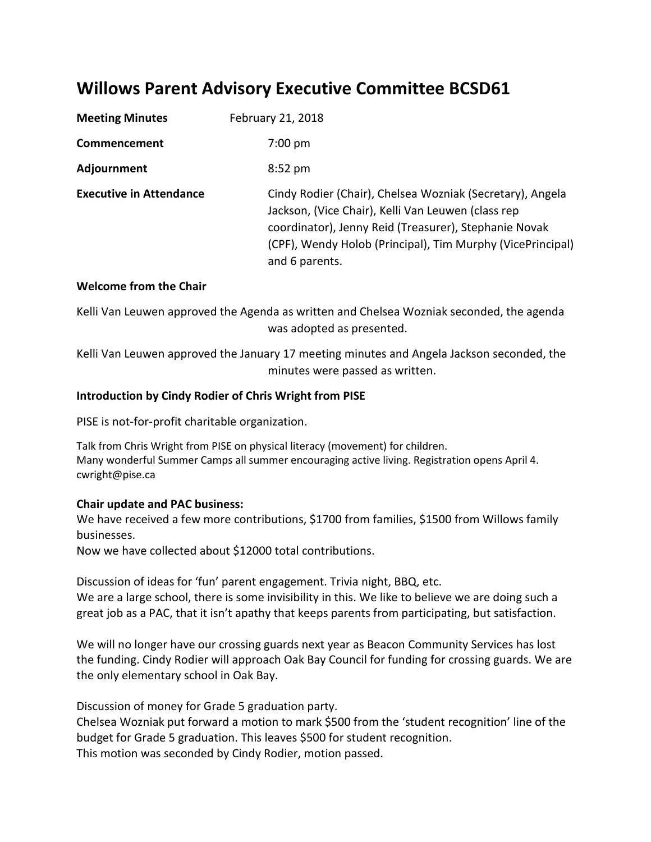## **Willows Parent Advisory Executive Committee BCSD61**

| <b>Meeting Minutes</b>         | February 21, 2018                                                                                                                                                                                                                                        |
|--------------------------------|----------------------------------------------------------------------------------------------------------------------------------------------------------------------------------------------------------------------------------------------------------|
| Commencement                   | $7:00$ pm                                                                                                                                                                                                                                                |
| Adjournment                    | $8:52$ pm                                                                                                                                                                                                                                                |
| <b>Executive in Attendance</b> | Cindy Rodier (Chair), Chelsea Wozniak (Secretary), Angela<br>Jackson, (Vice Chair), Kelli Van Leuwen (class rep<br>coordinator), Jenny Reid (Treasurer), Stephanie Novak<br>(CPF), Wendy Holob (Principal), Tim Murphy (VicePrincipal)<br>and 6 parents. |

## **Welcome from the Chair**

Kelli Van Leuwen approved the Agenda as written and Chelsea Wozniak seconded, the agenda was adopted as presented.

Kelli Van Leuwen approved the January 17 meeting minutes and Angela Jackson seconded, the minutes were passed as written.

## **Introduction by Cindy Rodier of Chris Wright from PISE**

PISE is not-for-profit charitable organization.

Talk from Chris Wright from PISE on physical literacy (movement) for children. Many wonderful Summer Camps all summer encouraging active living. Registration opens April 4. cwright@pise.ca

## **Chair update and PAC business:**

We have received a few more contributions, \$1700 from families, \$1500 from Willows family businesses.

Now we have collected about \$12000 total contributions.

Discussion of ideas for 'fun' parent engagement. Trivia night, BBQ, etc. We are a large school, there is some invisibility in this. We like to believe we are doing such a great job as a PAC, that it isn't apathy that keeps parents from participating, but satisfaction.

We will no longer have our crossing guards next year as Beacon Community Services has lost the funding. Cindy Rodier will approach Oak Bay Council for funding for crossing guards. We are the only elementary school in Oak Bay.

Discussion of money for Grade 5 graduation party.

Chelsea Wozniak put forward a motion to mark \$500 from the 'student recognition' line of the budget for Grade 5 graduation. This leaves \$500 for student recognition. This motion was seconded by Cindy Rodier, motion passed.